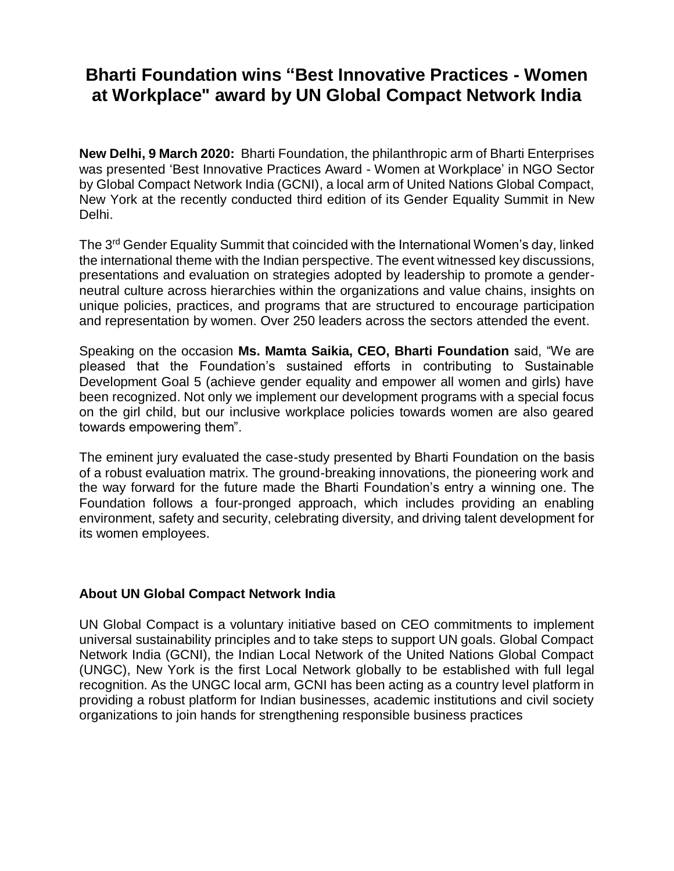# **Bharti Foundation wins "Best Innovative Practices - Women at Workplace" award by UN Global Compact Network India**

**New Delhi, 9 March 2020:** Bharti Foundation, the philanthropic arm of Bharti Enterprises was presented 'Best Innovative Practices Award - Women at Workplace' in NGO Sector by Global Compact Network India (GCNI), a local arm of United Nations Global Compact, New York at the recently conducted third edition of its Gender Equality Summit in New Delhi.

The 3rd Gender Equality Summit that coincided with the International Women's day, linked the international theme with the Indian perspective. The event witnessed key discussions, presentations and evaluation on strategies adopted by leadership to promote a genderneutral culture across hierarchies within the organizations and value chains, insights on unique policies, practices, and programs that are structured to encourage participation and representation by women. Over 250 leaders across the sectors attended the event.

Speaking on the occasion **Ms. Mamta Saikia, CEO, Bharti Foundation** said, "We are pleased that the Foundation's sustained efforts in contributing to Sustainable Development Goal 5 (achieve gender equality and empower all women and girls) have been recognized. Not only we implement our development programs with a special focus on the girl child, but our inclusive workplace policies towards women are also geared towards empowering them".

The eminent jury evaluated the case-study presented by Bharti Foundation on the basis of a robust evaluation matrix. The ground-breaking innovations, the pioneering work and the way forward for the future made the Bharti Foundation's entry a winning one. The Foundation follows a four-pronged approach, which includes providing an enabling environment, safety and security, celebrating diversity, and driving talent development for its women employees.

## **About UN Global Compact Network India**

UN Global Compact is a voluntary initiative based on CEO commitments to implement universal sustainability principles and to take steps to support UN goals. Global Compact Network India (GCNI), the Indian Local Network of the United Nations Global Compact (UNGC), New York is the first Local Network globally to be established with full legal recognition. As the UNGC local arm, GCNI has been acting as a country level platform in providing a robust platform for Indian businesses, academic institutions and civil society organizations to join hands for strengthening responsible business practices